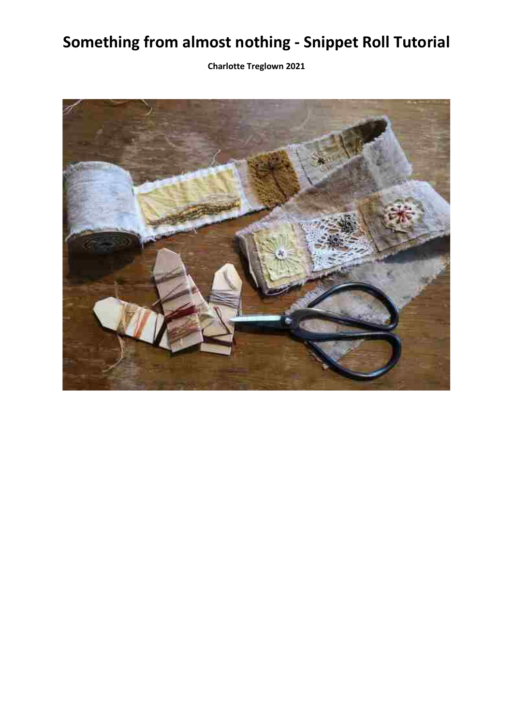## **Something from almost nothing - Snippet Roll Tutorial**

**Charlotte Treglown 2021**

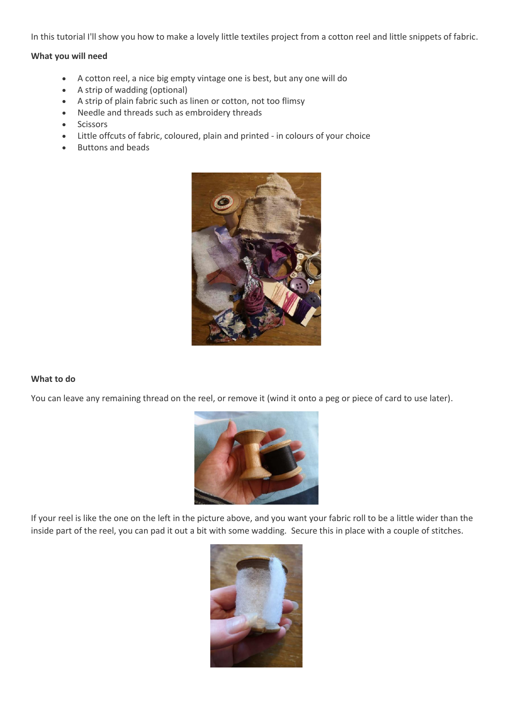In this tutorial I'll show you how to make a lovely little textiles project from a cotton reel and little snippets of fabric.

## **What you will need**

- A cotton reel, a nice big empty vintage one is best, but any one will do
- A strip of wadding (optional)
- A strip of plain fabric such as linen or cotton, not too flimsy
- Needle and threads such as embroidery threads
- Scissors
- Little offcuts of fabric, coloured, plain and printed in colours of your choice
- Buttons and beads



## **What to do**

You can leave any remaining thread on the reel, or remove it (wind it onto a peg or piece of card to use later).



If your reel is like the one on the left in the picture above, and you want your fabric roll to be a little wider than the inside part of the reel, you can pad it out a bit with some wadding. Secure this in place with a couple of stitches.

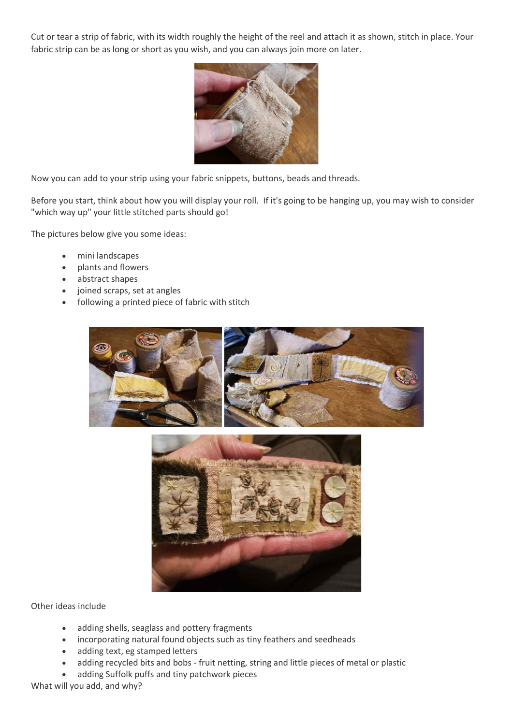Cut or tear a strip of fabric, with its width roughly the height of the reel and attach it as shown, stitch in place. Your fabric strip can be as long or short as you wish, and you can always join more on later.



Now you can add to your strip using your fabric snippets, buttons, beads and threads.

Before you start, think about how you will display your roll. If it's going to be hanging up, you may wish to consider "which way up" your little stitched parts should go!

The pictures below give you some ideas:

- mini landscapes
- plants and flowers
- abstract shapes
- joined scraps, set at angles
- following a printed piece of fabric with stitch





Other ideas include

- adding shells, seaglass and pottery fragments
- incorporating natural found objects such as tiny feathers and seedheads
- adding text, eg stamped letters
- adding recycled bits and bobs fruit netting, string and little pieces of metal or plastic
- adding Suffolk puffs and tiny patchwork pieces

What will you add, and why?